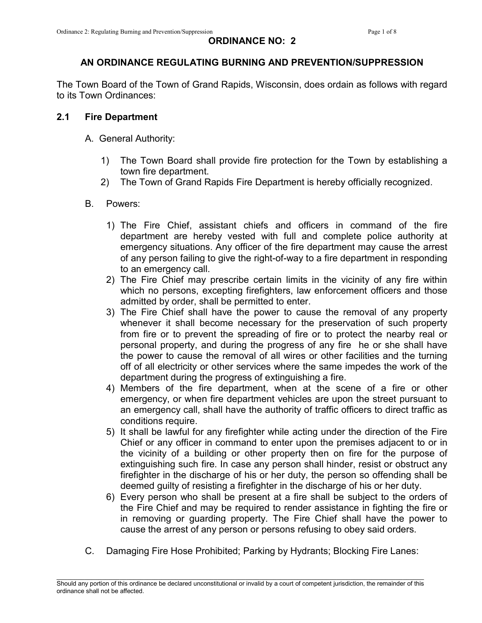# AN ORDINANCE REGULATING BURNING AND PREVENTION/SUPPRESSION

The Town Board of the Town of Grand Rapids, Wisconsin, does ordain as follows with regard to its Town Ordinances:

## 2.1 Fire Department

- A. General Authority:
	- 1) The Town Board shall provide fire protection for the Town by establishing a town fire department.
	- 2) The Town of Grand Rapids Fire Department is hereby officially recognized.

## B. Powers:

- 1) The Fire Chief, assistant chiefs and officers in command of the fire department are hereby vested with full and complete police authority at emergency situations. Any officer of the fire department may cause the arrest of any person failing to give the right-of-way to a fire department in responding to an emergency call.
- 2) The Fire Chief may prescribe certain limits in the vicinity of any fire within which no persons, excepting firefighters, law enforcement officers and those admitted by order, shall be permitted to enter.
- 3) The Fire Chief shall have the power to cause the removal of any property whenever it shall become necessary for the preservation of such property from fire or to prevent the spreading of fire or to protect the nearby real or personal property, and during the progress of any fire he or she shall have the power to cause the removal of all wires or other facilities and the turning off of all electricity or other services where the same impedes the work of the department during the progress of extinguishing a fire.
- 4) Members of the fire department, when at the scene of a fire or other emergency, or when fire department vehicles are upon the street pursuant to an emergency call, shall have the authority of traffic officers to direct traffic as conditions require.
- 5) It shall be lawful for any firefighter while acting under the direction of the Fire Chief or any officer in command to enter upon the premises adjacent to or in the vicinity of a building or other property then on fire for the purpose of extinguishing such fire. In case any person shall hinder, resist or obstruct any firefighter in the discharge of his or her duty, the person so offending shall be deemed guilty of resisting a firefighter in the discharge of his or her duty.
- 6) Every person who shall be present at a fire shall be subject to the orders of the Fire Chief and may be required to render assistance in fighting the fire or in removing or guarding property. The Fire Chief shall have the power to cause the arrest of any person or persons refusing to obey said orders.
- C. Damaging Fire Hose Prohibited; Parking by Hydrants; Blocking Fire Lanes: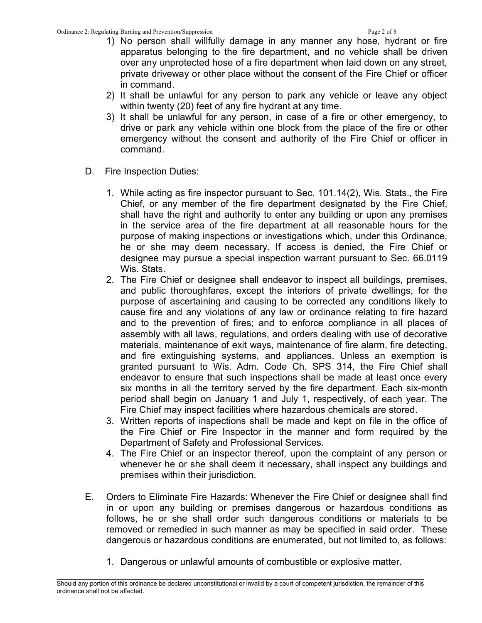- 1) No person shall willfully damage in any manner any hose, hydrant or fire apparatus belonging to the fire department, and no vehicle shall be driven over any unprotected hose of a fire department when laid down on any street, private driveway or other place without the consent of the Fire Chief or officer in command.
- 2) It shall be unlawful for any person to park any vehicle or leave any object within twenty (20) feet of any fire hydrant at any time.
- 3) It shall be unlawful for any person, in case of a fire or other emergency, to drive or park any vehicle within one block from the place of the fire or other emergency without the consent and authority of the Fire Chief or officer in command.
- D. Fire Inspection Duties:
	- 1. While acting as fire inspector pursuant to Sec. 101.14(2), Wis. Stats., the Fire Chief, or any member of the fire department designated by the Fire Chief, shall have the right and authority to enter any building or upon any premises in the service area of the fire department at all reasonable hours for the purpose of making inspections or investigations which, under this Ordinance, he or she may deem necessary. If access is denied, the Fire Chief or designee may pursue a special inspection warrant pursuant to Sec. 66.0119 Wis. Stats.
	- 2. The Fire Chief or designee shall endeavor to inspect all buildings, premises, and public thoroughfares, except the interiors of private dwellings, for the purpose of ascertaining and causing to be corrected any conditions likely to cause fire and any violations of any law or ordinance relating to fire hazard and to the prevention of fires; and to enforce compliance in all places of assembly with all laws, regulations, and orders dealing with use of decorative materials, maintenance of exit ways, maintenance of fire alarm, fire detecting, and fire extinguishing systems, and appliances. Unless an exemption is granted pursuant to Wis. Adm. Code Ch. SPS 314, the Fire Chief shall endeavor to ensure that such inspections shall be made at least once every six months in all the territory served by the fire department. Each six-month period shall begin on January 1 and July 1, respectively, of each year. The Fire Chief may inspect facilities where hazardous chemicals are stored.
	- 3. Written reports of inspections shall be made and kept on file in the office of the Fire Chief or Fire Inspector in the manner and form required by the Department of Safety and Professional Services.
	- 4. The Fire Chief or an inspector thereof, upon the complaint of any person or whenever he or she shall deem it necessary, shall inspect any buildings and premises within their jurisdiction.
- E. Orders to Eliminate Fire Hazards: Whenever the Fire Chief or designee shall find in or upon any building or premises dangerous or hazardous conditions as follows, he or she shall order such dangerous conditions or materials to be removed or remedied in such manner as may be specified in said order. These dangerous or hazardous conditions are enumerated, but not limited to, as follows:
	- 1. Dangerous or unlawful amounts of combustible or explosive matter.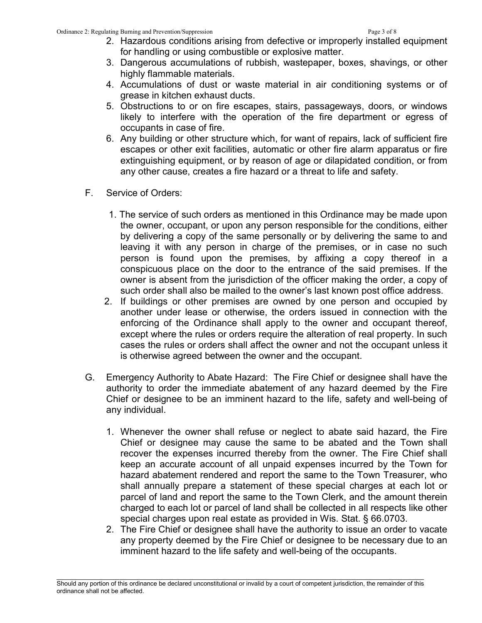- 2. Hazardous conditions arising from defective or improperly installed equipment for handling or using combustible or explosive matter.
- 3. Dangerous accumulations of rubbish, wastepaper, boxes, shavings, or other highly flammable materials.
- 4. Accumulations of dust or waste material in air conditioning systems or of grease in kitchen exhaust ducts.
- 5. Obstructions to or on fire escapes, stairs, passageways, doors, or windows likely to interfere with the operation of the fire department or egress of occupants in case of fire.
- 6. Any building or other structure which, for want of repairs, lack of sufficient fire escapes or other exit facilities, automatic or other fire alarm apparatus or fire extinguishing equipment, or by reason of age or dilapidated condition, or from any other cause, creates a fire hazard or a threat to life and safety.
- F. Service of Orders:
	- 1. The service of such orders as mentioned in this Ordinance may be made upon the owner, occupant, or upon any person responsible for the conditions, either by delivering a copy of the same personally or by delivering the same to and leaving it with any person in charge of the premises, or in case no such person is found upon the premises, by affixing a copy thereof in a conspicuous place on the door to the entrance of the said premises. If the owner is absent from the jurisdiction of the officer making the order, a copy of such order shall also be mailed to the owner's last known post office address.
	- 2. If buildings or other premises are owned by one person and occupied by another under lease or otherwise, the orders issued in connection with the enforcing of the Ordinance shall apply to the owner and occupant thereof, except where the rules or orders require the alteration of real property. In such cases the rules or orders shall affect the owner and not the occupant unless it is otherwise agreed between the owner and the occupant.
- G. Emergency Authority to Abate Hazard: The Fire Chief or designee shall have the authority to order the immediate abatement of any hazard deemed by the Fire Chief or designee to be an imminent hazard to the life, safety and well-being of any individual.
	- 1. Whenever the owner shall refuse or neglect to abate said hazard, the Fire Chief or designee may cause the same to be abated and the Town shall recover the expenses incurred thereby from the owner. The Fire Chief shall keep an accurate account of all unpaid expenses incurred by the Town for hazard abatement rendered and report the same to the Town Treasurer, who shall annually prepare a statement of these special charges at each lot or parcel of land and report the same to the Town Clerk, and the amount therein charged to each lot or parcel of land shall be collected in all respects like other special charges upon real estate as provided in Wis. Stat. § 66.0703.
	- 2. The Fire Chief or designee shall have the authority to issue an order to vacate any property deemed by the Fire Chief or designee to be necessary due to an imminent hazard to the life safety and well-being of the occupants.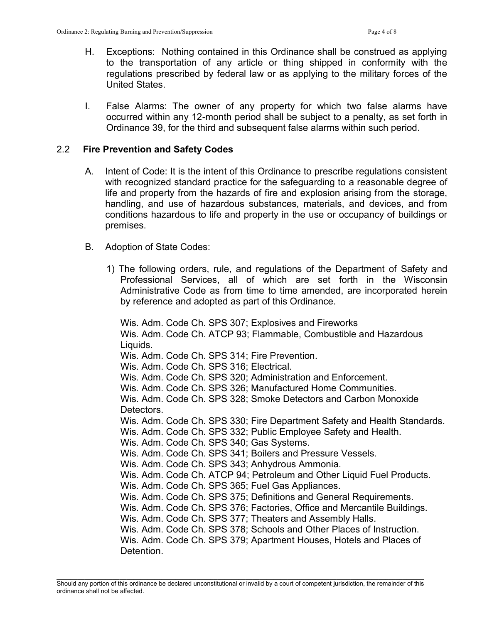- H. Exceptions: Nothing contained in this Ordinance shall be construed as applying to the transportation of any article or thing shipped in conformity with the regulations prescribed by federal law or as applying to the military forces of the United States.
- I. False Alarms: The owner of any property for which two false alarms have occurred within any 12-month period shall be subject to a penalty, as set forth in Ordinance 39, for the third and subsequent false alarms within such period.

### 2.2 Fire Prevention and Safety Codes

- A. Intent of Code: It is the intent of this Ordinance to prescribe regulations consistent with recognized standard practice for the safeguarding to a reasonable degree of life and property from the hazards of fire and explosion arising from the storage, handling, and use of hazardous substances, materials, and devices, and from conditions hazardous to life and property in the use or occupancy of buildings or premises.
- B. Adoption of State Codes:
	- 1) The following orders, rule, and regulations of the Department of Safety and Professional Services, all of which are set forth in the Wisconsin Administrative Code as from time to time amended, are incorporated herein by reference and adopted as part of this Ordinance.

Wis. Adm. Code Ch. SPS 307; Explosives and Fireworks Wis. Adm. Code Ch. ATCP 93; Flammable, Combustible and Hazardous Liquids. Wis. Adm. Code Ch. SPS 314; Fire Prevention. Wis. Adm. Code Ch. SPS 316; Electrical. Wis. Adm. Code Ch. SPS 320; Administration and Enforcement. Wis. Adm. Code Ch. SPS 326; Manufactured Home Communities. Wis. Adm. Code Ch. SPS 328; Smoke Detectors and Carbon Monoxide Detectors. Wis. Adm. Code Ch. SPS 330; Fire Department Safety and Health Standards. Wis. Adm. Code Ch. SPS 332; Public Employee Safety and Health. Wis. Adm. Code Ch. SPS 340; Gas Systems. Wis. Adm. Code Ch. SPS 341; Boilers and Pressure Vessels. Wis. Adm. Code Ch. SPS 343; Anhydrous Ammonia. Wis. Adm. Code Ch. ATCP 94; Petroleum and Other Liquid Fuel Products. Wis. Adm. Code Ch. SPS 365; Fuel Gas Appliances. Wis. Adm. Code Ch. SPS 375; Definitions and General Requirements. Wis. Adm. Code Ch. SPS 376; Factories, Office and Mercantile Buildings. Wis. Adm. Code Ch. SPS 377; Theaters and Assembly Halls. Wis. Adm. Code Ch. SPS 378; Schools and Other Places of Instruction. Wis. Adm. Code Ch. SPS 379; Apartment Houses, Hotels and Places of Detention.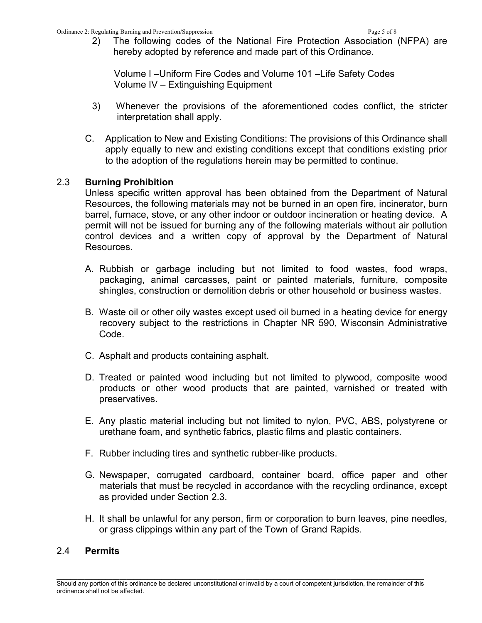2) The following codes of the National Fire Protection Association (NFPA) are hereby adopted by reference and made part of this Ordinance.

 Volume I –Uniform Fire Codes and Volume 101 –Life Safety Codes Volume IV – Extinguishing Equipment

- 3) Whenever the provisions of the aforementioned codes conflict, the stricter interpretation shall apply.
- C. Application to New and Existing Conditions: The provisions of this Ordinance shall apply equally to new and existing conditions except that conditions existing prior to the adoption of the regulations herein may be permitted to continue.

### 2.3 Burning Prohibition

Unless specific written approval has been obtained from the Department of Natural Resources, the following materials may not be burned in an open fire, incinerator, burn barrel, furnace, stove, or any other indoor or outdoor incineration or heating device. A permit will not be issued for burning any of the following materials without air pollution control devices and a written copy of approval by the Department of Natural Resources.

- A. Rubbish or garbage including but not limited to food wastes, food wraps, packaging, animal carcasses, paint or painted materials, furniture, composite shingles, construction or demolition debris or other household or business wastes.
- B. Waste oil or other oily wastes except used oil burned in a heating device for energy recovery subject to the restrictions in Chapter NR 590, Wisconsin Administrative Code.
- C. Asphalt and products containing asphalt.
- D. Treated or painted wood including but not limited to plywood, composite wood products or other wood products that are painted, varnished or treated with preservatives.
- E. Any plastic material including but not limited to nylon, PVC, ABS, polystyrene or urethane foam, and synthetic fabrics, plastic films and plastic containers.
- F. Rubber including tires and synthetic rubber-like products.
- G. Newspaper, corrugated cardboard, container board, office paper and other materials that must be recycled in accordance with the recycling ordinance, except as provided under Section 2.3.
- H. It shall be unlawful for any person, firm or corporation to burn leaves, pine needles, or grass clippings within any part of the Town of Grand Rapids.

### 2.4 Permits

 $\mathcal{L}_\text{max}$ Should any portion of this ordinance be declared unconstitutional or invalid by a court of competent jurisdiction, the remainder of this ordinance shall not be affected.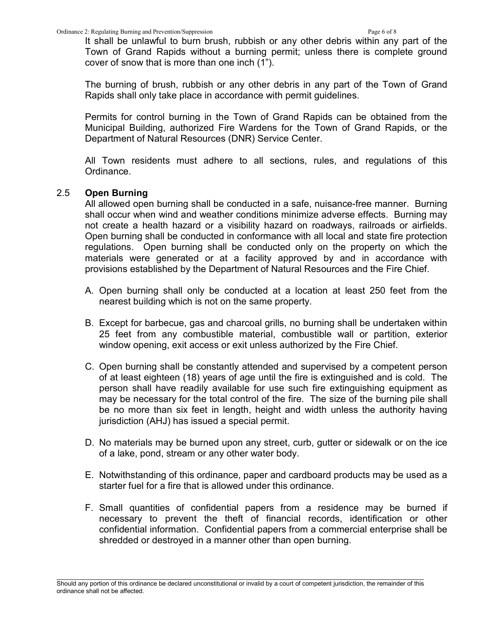It shall be unlawful to burn brush, rubbish or any other debris within any part of the Town of Grand Rapids without a burning permit; unless there is complete ground cover of snow that is more than one inch (1").

 The burning of brush, rubbish or any other debris in any part of the Town of Grand Rapids shall only take place in accordance with permit guidelines.

 Permits for control burning in the Town of Grand Rapids can be obtained from the Municipal Building, authorized Fire Wardens for the Town of Grand Rapids, or the Department of Natural Resources (DNR) Service Center.

 All Town residents must adhere to all sections, rules, and regulations of this Ordinance.

### 2.5 Open Burning

All allowed open burning shall be conducted in a safe, nuisance-free manner. Burning shall occur when wind and weather conditions minimize adverse effects. Burning may not create a health hazard or a visibility hazard on roadways, railroads or airfields. Open burning shall be conducted in conformance with all local and state fire protection regulations. Open burning shall be conducted only on the property on which the materials were generated or at a facility approved by and in accordance with provisions established by the Department of Natural Resources and the Fire Chief.

- A. Open burning shall only be conducted at a location at least 250 feet from the nearest building which is not on the same property.
- B. Except for barbecue, gas and charcoal grills, no burning shall be undertaken within 25 feet from any combustible material, combustible wall or partition, exterior window opening, exit access or exit unless authorized by the Fire Chief.
- C. Open burning shall be constantly attended and supervised by a competent person of at least eighteen (18) years of age until the fire is extinguished and is cold. The person shall have readily available for use such fire extinguishing equipment as may be necessary for the total control of the fire. The size of the burning pile shall be no more than six feet in length, height and width unless the authority having jurisdiction (AHJ) has issued a special permit.
- D. No materials may be burned upon any street, curb, gutter or sidewalk or on the ice of a lake, pond, stream or any other water body.
- E. Notwithstanding of this ordinance, paper and cardboard products may be used as a starter fuel for a fire that is allowed under this ordinance.
- F. Small quantities of confidential papers from a residence may be burned if necessary to prevent the theft of financial records, identification or other confidential information. Confidential papers from a commercial enterprise shall be shredded or destroyed in a manner other than open burning.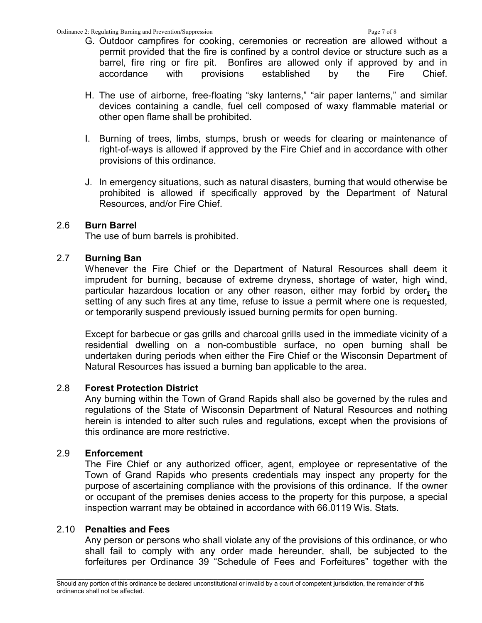- G. Outdoor campfires for cooking, ceremonies or recreation are allowed without a permit provided that the fire is confined by a control device or structure such as a barrel, fire ring or fire pit. Bonfires are allowed only if approved by and in accordance with provisions established by the Fire Chief.
- H. The use of airborne, free-floating "sky lanterns," "air paper lanterns," and similar devices containing a candle, fuel cell composed of waxy flammable material or other open flame shall be prohibited.
- I. Burning of trees, limbs, stumps, brush or weeds for clearing or maintenance of right-of-ways is allowed if approved by the Fire Chief and in accordance with other provisions of this ordinance.
- J. In emergency situations, such as natural disasters, burning that would otherwise be prohibited is allowed if specifically approved by the Department of Natural Resources, and/or Fire Chief.

### 2.6 Burn Barrel

The use of burn barrels is prohibited.

## 2.7 Burning Ban

Whenever the Fire Chief or the Department of Natural Resources shall deem it imprudent for burning, because of extreme dryness, shortage of water, high wind, particular hazardous location or any other reason, either may forbid by order, the setting of any such fires at any time, refuse to issue a permit where one is requested, or temporarily suspend previously issued burning permits for open burning.

Except for barbecue or gas grills and charcoal grills used in the immediate vicinity of a residential dwelling on a non-combustible surface, no open burning shall be undertaken during periods when either the Fire Chief or the Wisconsin Department of Natural Resources has issued a burning ban applicable to the area.

### 2.8 Forest Protection District

Any burning within the Town of Grand Rapids shall also be governed by the rules and regulations of the State of Wisconsin Department of Natural Resources and nothing herein is intended to alter such rules and regulations, except when the provisions of this ordinance are more restrictive.

# 2.9 Enforcement

The Fire Chief or any authorized officer, agent, employee or representative of the Town of Grand Rapids who presents credentials may inspect any property for the purpose of ascertaining compliance with the provisions of this ordinance. If the owner or occupant of the premises denies access to the property for this purpose, a special inspection warrant may be obtained in accordance with 66.0119 Wis. Stats.

### 2.10 Penalties and Fees

Any person or persons who shall violate any of the provisions of this ordinance, or who shall fail to comply with any order made hereunder, shall, be subjected to the forfeitures per Ordinance 39 "Schedule of Fees and Forfeitures" together with the